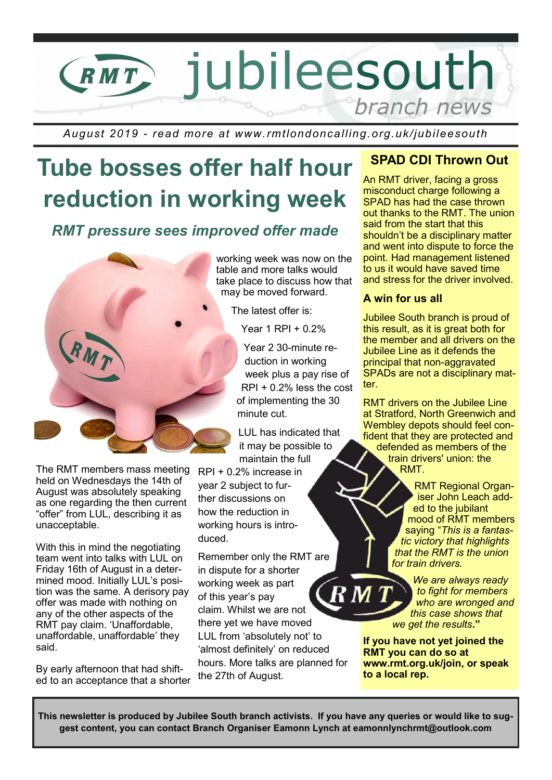

*August 2019 - read more at www.rmtlondoncalling.org.uk/jubileesouth*

# **Tube bosses offer half hour reduction in working week**

## *RMT pressure sees improved offer made*

working week was now on the table and more talks would take place to discuss how that may be moved forward.

The latest offer is:

Year 1 RPI + 0.2%

Year 2 30-minute reduction in working week plus a pay rise of RPI + 0.2% less the cost of implementing the 30 minute cut.

LUL has indicated that it may be possible to maintain the full

RPI + 0.2% increase in year 2 subject to further discussions on how the reduction in working hours is introduced.

Remember only the RMT are in dispute for a shorter working week as part  $\overline{\bf R}$  M  $\overline{\bf 1}$ of this year's pay claim. Whilst we are not there yet we have moved LUL from 'absolutely not' to 'almost definitely' on reduced hours. More talks are planned for the 27th of August.

#### **SPAD CDI Thrown Out**

An RMT driver, facing a gross misconduct charge following a SPAD has had the case thrown out thanks to the RMT. The union said from the start that this shouldn't be a disciplinary matter and went into dispute to force the point. Had management listened to us it would have saved time and stress for the driver involved.

#### **A win for us all**

Jubilee South branch is proud of this result, as it is great both for the member and all drivers on the Jubilee Line as it defends the principal that non-aggravated SPADs are not a disciplinary matter.

RMT drivers on the Jubilee Line at Stratford, North Greenwich and Wembley depots should feel confident that they are protected and defended as members of the train drivers' union: the RMT.

> RMT Regional Organiser John Leach added to the jubilant mood of RMT members saying "*This is a fantastic victory that highlights that the RMT is the union for train drivers.*

*We are always ready to fight for members who are wronged and this case shows that we get the results***."**

**If you have not yet joined the RMT you can do so at www.rmt.org.uk/join, or speak to a local rep.**

The RMT members mass meeting held on Wednesdays the 14th of August was absolutely speaking as one regarding the then current "offer" from LUL, describing it as unacceptable.

With this in mind the negotiating team went into talks with LUL on Friday 16th of August in a determined mood. Initially LUL's position was the same. A derisory pay offer was made with nothing on any of the other aspects of the RMT pay claim. 'Unaffordable, unaffordable, unaffordable' they said.

By early afternoon that had shifted to an acceptance that a shorter

**This newsletter is produced by Jubilee South branch activists. If you have any queries or would like to suggest content, you can contact Branch Organiser Eamonn Lynch at eamonnlynchrmt@outlook.com**